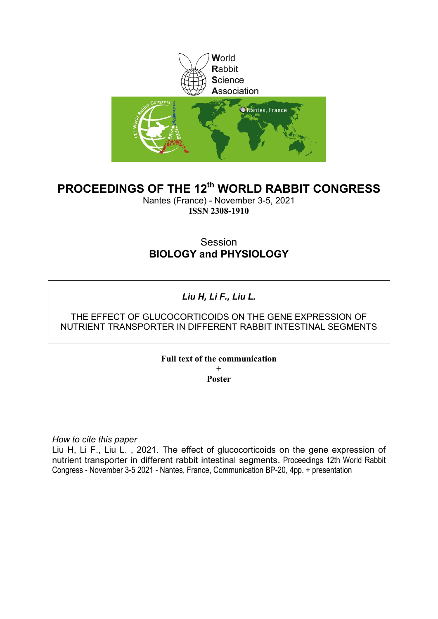

# **PROCEEDINGS OF THE 12th WORLD RABBIT CONGRESS**

Nantes (France) - November 3-5, 2021 **ISSN 2308-1910**

# Session **BIOLOGY and PHYSIOLOGY**

# *Liu H, Li F., Liu L.*

# THE EFFECT OF GLUCOCORTICOIDS ON THE GENE EXPRESSION OF NUTRIENT TRANSPORTER IN DIFFERENT RABBIT INTESTINAL SEGMENTS

## **Full text of the communication**

**+ Poster**

*How to cite this paper*

Liu H, Li F., Liu L., 2021. The effect of glucocorticoids on the gene expression of nutrient transporter in different rabbit intestinal segments. Proceedings 12th World Rabbit Congress - November 3-5 2021 - Nantes, France, Communication BP-20, 4pp. + presentation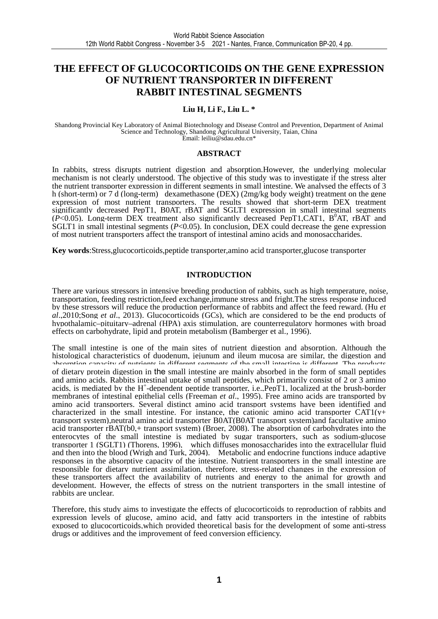# **THE EFFECT OF GLUCOCORTICOIDS ON THE GENE EXPRESSION OF NUTRIENT TRANSPORTER IN DIFFERENT RABBIT INTESTINAL SEGMENTS**

#### **Liu H, Li F., Liu L. \***

Shandong Provincial Key Laboratory of Animal Biotechnology and Disease Control and Prevention, Department of Animal Science and Technology, Shandong Agricultural University, Taian, China Email: leiliu@sdau.edu.cn\*

#### **ABSTRACT**

In rabbits, stress disrupts nutrient digestion and absorption.However, the underlying molecular mechanism is not clearly understood. The objective of this study was to investigate if the stress alter the nutrient transporter expression in different segments in small intestine. We analysed the effects of 3 h (short-term) or 7 d (long-term) dexamethasone (DEX) (2mg/kg body weight) treatment on the gene expression of most nutrient transporters. The results showed that short-term DEX treatment significantly decreased PepT1, B0AT, rBAT and SGLT1 expression in small intestinal segments  $(P<0.05)$ . Long-term DEX treatment also significantly decreased PepT1,CAT1, B<sup>0</sup>AT, rBAT and SGLT1 in small intestinal segments (*P*<0.05). In conclusion, DEX could decrease the gene expression of most nutrient transporters affect the transport of intestinal amino acids and monosaccharides.

**Key words**:Stress,glucocorticoids,peptide transporter,amino acid transporter,glucose transporter

#### **INTRODUCTION**

There are various stressors in intensive breeding production of rabbits, such as high temperature, noise, transportation, feeding restriction,feed exchange,immune stress and fright.The stress response induced by these stressors will reduce the production performance of rabbits and affect the feed reward. (Hu *et al*.,2010;Song *et al*., 2013). Glucocorticoids (GCs), which are considered to be the end products of hypothalamic–pituitary–adrenal (HPA) axis stimulation, are counterregulatory hormones with broad effects on carbohydrate, lipid and protein metabolism (Bamberger et al., 1996).

The small intestine is one of the main sites of nutrient digestion and absorption. Although the histological characteristics of duodenum, jejunum and ileum mucosa are similar, the digestion and absorption capacity of nutrients in different segments of the small intestine is different. The products of dietary protein digestion in the small intestine are mainly absorbed in the form of small peptides and amino acids. Rabbits intestinal uptake of small peptides, which primarily consist of 2 or 3 amino acids, is mediated by the H<sup>+</sup>-dependent peptide transporter, i.e., PepT1, localized at the brush-border membranes of intestinal epithelial cells (Freeman *et al*., 1995). Free amino acids are transported by amino acid transporters. Several distinct amino acid transport systems have been identified and characterized in the small intestine. For instance, the cationic amino acid transporter  $CAT1(y+$ transport system),neutral amino acid transporter B0AT(B0AT transport system)and facultative amino acid transporter rBAT(b0,+ transport system) (Broer, 2008). The absorption of carbohydrates into the enterocytes of the small intestine is mediated by sugar transporters, such as sodium-glucose transporter 1 (SGLT1) (Thorens, 1996), which diffuses monosaccharides into the extracellular fluid and then into the blood (Wrigh and Turk, 2004). Metabolic and endocrine functions induce adaptive responses in the absorptive capacity of the intestine. Nutrient transporters in the small intestine are responsible for dietary nutrient assimilation, therefore, stress-related changes in the expression of these transporters affect the availability of nutrients and energy to the animal for growth and development. However, the effects of stress on the nutrient transporters in the small intestine of rabbits are unclear.

Therefore, this study aims to investigate the effects of glucocorticoids to reproduction of rabbits and expression levels of glucose, amino acid, and fatty acid transporters in the intestine of rabbits exposed to glucocorticoids,which provided theoretical basis for the development of some anti-stress drugs or additives and the improvement of feed conversion efficiency.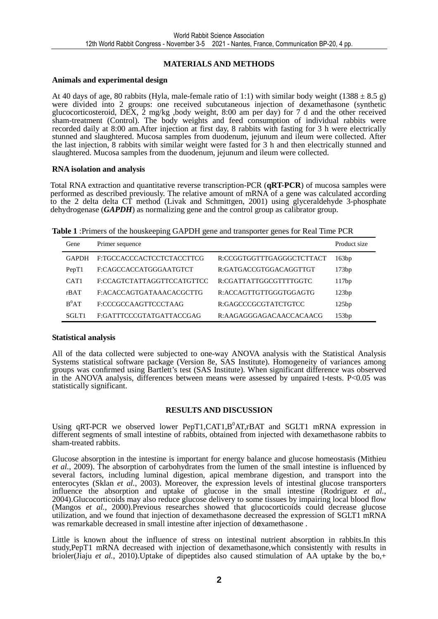### **MATERIALS AND METHODS**

#### **Animals and experimental design**

At 40 days of age, 80 rabbits (Hyla, male-female ratio of 1:1) with similar body weight (1388  $\pm$  8.5 g) were divided into 2 groups: one received subcutaneous injection of dexamethasone (synthetic glucocorticosteroid, DEX, 2 mg/kg ,body weight, 8:00 am per day) for 7 d and the other received sham-treatment (Control). The body weights and feed consumption of individual rabbits were recorded daily at 8:00 am.After injection at first day, 8 rabbits with fasting for 3 h were electrically stunned and slaughtered. Mucosa samples from duodenum, jejunum and ileum were collected. After the last injection, 8 rabbits with similar weight were fasted for 3 h and then electrically stunned and slaughtered. Mucosa samples from the duodenum, jejunum and ileum were collected.

#### **RNA isolation and analysis**

Total RNA extraction and quantitative reverse transcription-PCR (**qRT-PCR**) of mucosa samples were performed as described previously. The relative amount of mRNA of a gene was calculated according to the 2 delta delta CT method (Livak and Schmittgen, 2001) using glyceraldehyde 3-phosphate dehydrogenase (*GAPDH*) as normalizing gene and the control group as calibrator group.

|  |  |  | Table 1: Primers of the houskeeping GAPDH gene and transporter genes for Real Time PCR |  |  |
|--|--|--|----------------------------------------------------------------------------------------|--|--|
|  |  |  |                                                                                        |  |  |

| Gene             | Primer sequence            |                           | Product size |
|------------------|----------------------------|---------------------------|--------------|
| <b>GAPDH</b>     | E:TGCCACCCACTCCTCTACCTTCG  | R:CCGGTGGTTTGAGGGCTCTTACT | 163bp        |
| PepT1            | F:CAGCCACCATGGGAATGTCT     | R:GATGACCGTGGACAGGTTGT    | 173bp        |
| CAT <sub>1</sub> | F:CCAGTCTATTAGGTTCCATGTTCC | R:CGATTATTGGCGTTTTGGTC    | 117bp        |
| rBAT             | F:ACACCAGTGATAAACACGCTTG   | R:ACCAGTTGTTGGGTGGAGTG    | 123bp        |
| $B^0AT$          | F:CCCGCCAAGTTCCCTAAG       | R:GAGCCCGCGTATCTGTCC      | 125bp        |
| SGLT1            | F:GATTTCCCGTATGATTACCGAG   | R:AAGAGGGAGACAACCACAACG   | 153bp        |

#### **Statistical analysis**

All of the data collected were subjected to one-way ANOVA analysis with the Statistical Analysis Systems statistical software package (Version 8e, SAS Institute). Homogeneity of variances among groups was confirmed using Bartlett's test (SAS Institute). When significant difference was observed in the ANOVA analysis, differences between means were assessed by unpaired t-tests. P<0.05 was statistically significant.

#### **RESULTS AND DISCUSSION**

Using qRT-PCR we observed lower PepT1, CAT1, B<sup>0</sup>AT, rBAT and SGLT1 mRNA expression in different segments of small intestine of rabbits, obtained from injected with dexamethasone rabbits to sham-treated rabbits.

Glucose absorption in the intestine is important for energy balance and glucose homeostasis (Mithieu *et al.*, 2009). The absorption of carbohydrates from the lumen of the small intestine is influenced by several factors, including luminal digestion, apical membrane digestion, and transport into the enterocytes (Sklan *et al.*, 2003). Moreover, the expression levels of intestinal glucose transporters influence the absorption and uptake of glucose in the small intestine (Rodriguez *et al.*, 2004).Glucocorticoids may also reduce glucose delivery to some tissues by impairing local blood flow (Mangos *et al.*, 2000).Previous researches showed that glucocorticoids could decrease glucose utilization, and we found that injection of dexamethasone decreased the expression of SGLT1 mRNA was remarkable decreased in small intestine after injection of dexamethasone .

Little is known about the influence of stress on intestinal nutrient absorption in rabbits.In this study,PepT1 mRNA decreased with injection of dexamethasone,which consistently with results in brioler(Jiaju *et al.*, 2010).Uptake of dipeptides also caused stimulation of AA uptake by the bo,+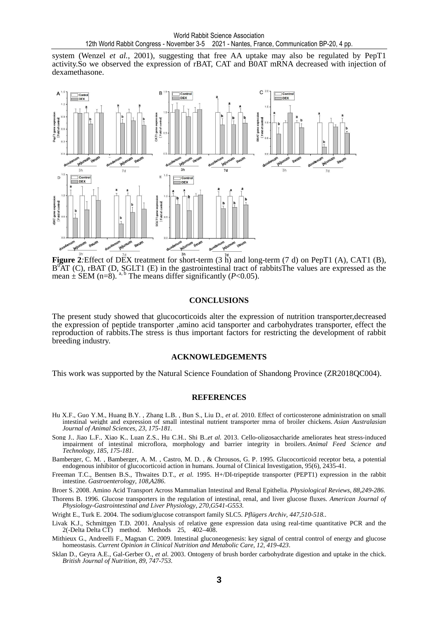system (Wenzel *et al.*, 2001), suggesting that free AA uptake may also be regulated by PepT1 activity.So we observed the expression of rBAT, CAT and B0AT mRNA decreased with injection of dexamethasone.



**Figure 2***:*Effect of DEX treatment for short-term (3 h) and long-term (7 d) on PepT1 (A), CAT1 (B),  $B^{0}AT$  (C), rBAT (D, SGLT1 (E) in the gastrointestinal tract of rabbitsThe values are expressed as the mean  $\pm$  SEM (n=8). <sup>a, b</sup> The means differ significantly (*P*<0.05).

#### **CONCLUSIONS**

The present study showed that glucocorticoids alter the expression of nutrition transporter,decreased the expression of peptide transporter ,amino acid tansporter and carbohydrates transporter, effect the reproduction of rabbits.The stress is thus important factors for restricting the development of rabbit breeding industry.

#### **ACKNOWLEDGEMENTS**

This work was supported by the Natural Science Foundation of Shandong Province (ZR2018QC004).

#### **REFERENCES**

- Hu X.F., Guo Y.M., Huang B.Y. , Zhang L.B. , Bun S., Liu D., *et al.* 2010. Effect of corticosterone administration on small intestinal weight and expression of small intestinal nutrient transporter mrna of broiler chickens. *Asian Australasian Journal of Animal Sciences, 23, 175-181.*
- Song J., Jiao L.F., Xiao K., Luan Z.S., Hu C.H., Shi B.,*et al.* 2013. Cello-oligosaccharide ameliorates heat stress-induced impairment of intestinal microflora, morphology and barrier integrity in broilers. *Animal Feed Science and Technology, 185, 175-181.*

Bamberger, C. M. , Bamberger, A. M. , Castro, M. D. , & Chrousos, G. P. 1995. Glucocorticoid receptor beta, a potential endogenous inhibitor of glucocorticoid action in humans. Journal of Clinical Investigation, 95(6), 2435-41.

Freeman T.C., Bentsen B.S., Thwaites D.T., *et al.* 1995. H+/DI-tripeptide transporter (PEPT1) expression in the rabbit intestine. *Gastroenterology, 108,A286*.

Broer S. 2008. Amino Acid Transport Across Mammalian Intestinal and Renal Epithelia. *Physiological Reviews, 88,249-286.* 

Thorens B. 1996. Glucose transporters in the regulation of intestinal, renal, and liver glucose fluxes. *American Journal of Physiology-Gastrointestinal and Liver Physiology, 270,G541-G553.* 

Wright E., Turk E. 2004. The sodium/glucose cotransport family SLC5. *Pflügers Archiv, 447,510-518..* 

- Livak K.J., Schmittgen T.D. 2001. Analysis of relative gene expression data using real-time quantitative PCR and the 2(-Delta Delta CT) method. Methods 25, 402–408.
- Mithieux G., Andreelli F., Magnan C. 2009. Intestinal gluconeogenesis: key signal of central control of energy and glucose homeostasis. *Current Opinion in Clinical Nutrition and Metabolic Care, 12, 419-423*.
- Sklan D., Geyra A.E., Gal-Gerber O., *et al.* 2003. Ontogeny of brush border carbohydrate digestion and uptake in the chick. *British Journal of Nutrition, 89, 747-753.*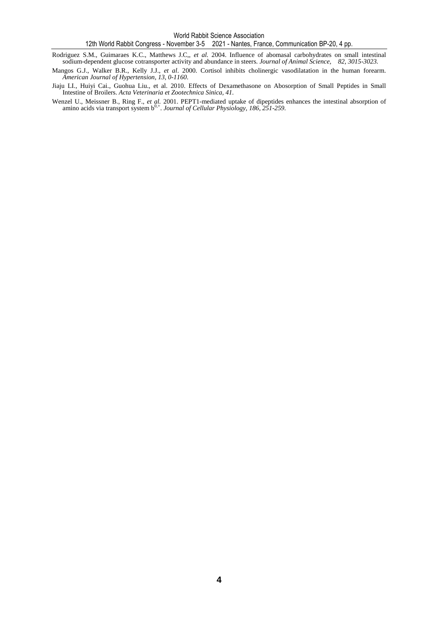Rodriguez S.M., Guimaraes K.C., Matthews J.C,, *et al.* 2004. Influence of abomasal carbohydrates on small intestinal sodium-dependent glucose cotransporter activity and abundance in steers. *Journal of Animal Science, 82, 3015-3023.* 

- Mangos G.J., Walker B.R., Kelly J.J., *et al*. 2000. Cortisol inhibits cholinergic vasodilatation in the human forearm. *American Journal of Hypertension, 13, 0-1160*.
- Jiaju LI., Huiyi Cai., Guohua Liu., et al. 2010. Effects of Dexamethasone on Abosorption of Small Peptides in Small Intestine of Broilers. *Acta Veterinaria et Zootechnica Sinica, 41.*
- Wenzel U., Meissner B., Ring F., *et al.* 2001. PEPT1-mediated uptake of dipeptides enhances the intestinal absorption of amino acids via transport system b<sup>0,+</sup>. *Journal of Cellular Physiology, 186, 251-259*.